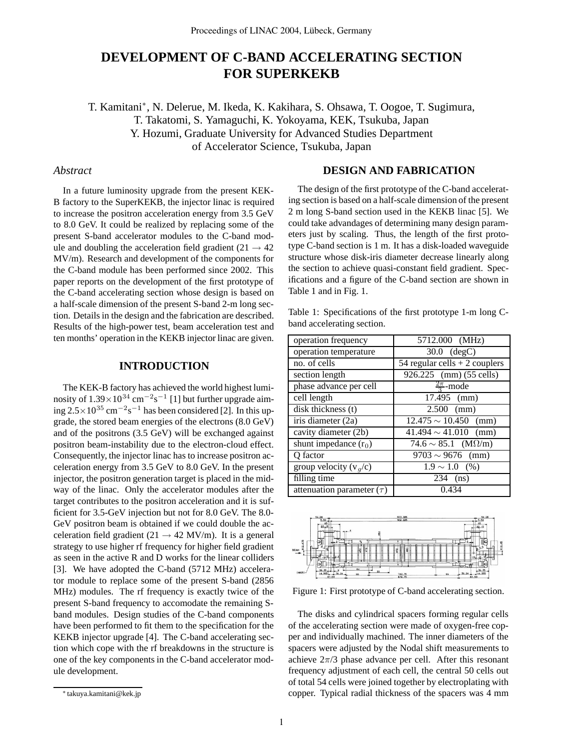# **DEVELOPMENT OF C-BAND ACCELERATING SECTION FOR SUPERKEKB**

T. Kamitani∗, N. Delerue, M. Ikeda, K. Kakihara, S. Ohsawa, T. Oogoe, T. Sugimura, T. Takatomi, S. Yamaguchi, K. Yokoyama, KEK, Tsukuba, Japan Y. Hozumi, Graduate University for Advanced Studies Department of Accelerator Science, Tsukuba, Japan

## *Abstract*

In a future luminosity upgrade from the present KEK-B factory to the SuperKEKB, the injector linac is required to increase the positron acceleration energy from 3.5 GeV to 8.0 GeV. It could be realized by replacing some of the present S-band accelerator modules to the C-band module and doubling the acceleration field gradient (21  $\rightarrow$  42 MV/m). Research and development of the components for the C-band module has been performed since 2002. This paper reports on the development of the first prototype of the C-band accelerating section whose design is based on a half-scale dimension of the present S-band 2-m long section. Details in the design and the fabrication are described. Results of the high-power test, beam acceleration test and ten months' operation in the KEKB injector linac are given.

## **INTRODUCTION**

The KEK-B factory has achieved the world highest luminosity of  $1.39 \times 10^{34}$  cm<sup>−2</sup>s<sup>−1</sup> [1] but further upgrade aiming 2.5×10<sup>35</sup> cm*−*<sup>2</sup>s*−*<sup>1</sup> has been considered [2]. In this upgrade, the stored beam energies of the electrons (8.0 GeV) and of the positrons (3.5 GeV) will be exchanged against positron beam-instability due to the electron-cloud effect. Consequently, the injector linac has to increase positron acceleration energy from 3.5 GeV to 8.0 GeV. In the present injector, the positron generation target is placed in the midway of the linac. Only the accelerator modules after the target contributes to the positron acceleration and it is sufficient for 3.5-GeV injection but not for 8.0 GeV. The 8.0- GeV positron beam is obtained if we could double the acceleration field gradient (21  $\rightarrow$  42 MV/m). It is a general strategy to use higher rf frequency for higher field gradient as seen in the active R and D works for the linear colliders [3]. We have adopted the C-band (5712 MHz) accelerator module to replace some of the present S-band (2856 MHz) modules. The rf frequency is exactly twice of the present S-band frequency to accomodate the remaining Sband modules. Design studies of the C-band components have been performed to fit them to the specification for the KEKB injector upgrade [4]. The C-band accelerating section which cope with the rf breakdowns in the structure is one of the key components in the C-band accelerator module development.

## **DESIGN AND FABRICATION**

The design of the first prototype of the C-band accelerating section is based on a half-scale dimension of the present 2 m long S-band section used in the KEKB linac [5]. We could take advandages of determining many design parameters just by scaling. Thus, the length of the first prototype C-band section is 1 m. It has a disk-loaded waveguide structure whose disk-iris diameter decrease linearly along the section to achieve quasi-constant field gradient. Specifications and a figure of the C-band section are shown in Table 1 and in Fig. 1.

| Table 1: Specifications of the first prototype 1-m long C- |  |  |
|------------------------------------------------------------|--|--|
| band accelerating section.                                 |  |  |

| operation frequency                    | 5712.000 (MHz)                   |  |
|----------------------------------------|----------------------------------|--|
| operation temperature                  | $30.0$ $(degC)$                  |  |
| no. of cells                           | 54 regular cells $+ 2$ couplers  |  |
| section length                         | 926.225 (mm) (55 cells)          |  |
| phase advance per cell                 | $\frac{2\pi}{3}$ -mode           |  |
| cell length                            | 17.495 (mm)                      |  |
| $\overline{disk}$ thickness (t)        | $2.500$ (mm)                     |  |
| $\overline{\text{iris}}$ diameter (2a) | $12.475 \sim 10.450$ (mm)        |  |
| cavity diameter (2b)                   | $41.494 \sim 41.010$ (mm)        |  |
| shunt impedance $(r_0)$                | $74.6 \sim 85.1$ (M $\Omega/m$ ) |  |
| O factor                               | $9703 \sim 9676$ (mm)            |  |
| group velocity $(v_g/c)$               | $1.9 \sim 1.0$ (%)               |  |
| filling time                           | 234 (ns)                         |  |
| attenuation parameter $(\tau)$         | 0.434                            |  |



Figure 1: First prototype of C-band accelerating section.

The disks and cylindrical spacers forming regular cells of the accelerating section were made of oxygen-free copper and individually machined. The inner diameters of the spacers were adjusted by the Nodal shift measurements to achieve  $2\pi/3$  phase advance per cell. After this resonant frequency adjustment of each cell, the central 50 cells out of total 54 cells were joined together by electroplating with copper. Typical radial thickness of the spacers was 4 mm

<sup>∗</sup> takuya.kamitani@kek.jp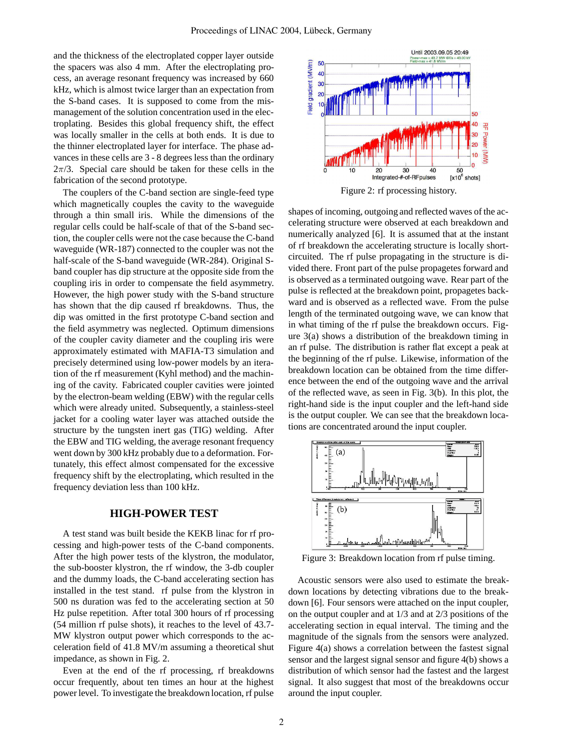and the thickness of the electroplated copper layer outside the spacers was also 4 mm. After the electroplating process, an average resonant frequency was increased by 660 kHz, which is almost twice larger than an expectation from the S-band cases. It is supposed to come from the mismanagement of the solution concentration used in the electroplating. Besides this global frequency shift, the effect was locally smaller in the cells at both ends. It is due to the thinner electroplated layer for interface. The phase advances in these cells are 3 - 8 degrees less than the ordinary  $2\pi/3$ . Special care should be taken for these cells in the fabrication of the second prototype.

The couplers of the C-band section are single-feed type which magnetically couples the cavity to the waveguide through a thin small iris. While the dimensions of the regular cells could be half-scale of that of the S-band section, the coupler cells were not the case because the C-band waveguide (WR-187) connected to the coupler was not the half-scale of the S-band waveguide (WR-284). Original Sband coupler has dip structure at the opposite side from the coupling iris in order to compensate the field asymmetry. However, the high power study with the S-band structure has shown that the dip caused rf breakdowns. Thus, the dip was omitted in the first prototype C-band section and the field asymmetry was neglected. Optimum dimensions of the coupler cavity diameter and the coupling iris were approximately estimated with MAFIA-T3 simulation and precisely determined using low-power models by an iteration of the rf measurement (Kyhl method) and the machining of the cavity. Fabricated coupler cavities were jointed by the electron-beam welding (EBW) with the regular cells which were already united. Subsequently, a stainless-steel jacket for a cooling water layer was attached outside the structure by the tungsten inert gas (TIG) welding. After the EBW and TIG welding, the average resonant frequency went down by 300 kHz probably due to a deformation. Fortunately, this effect almost compensated for the excessive frequency shift by the electroplating, which resulted in the frequency deviation less than 100 kHz.

#### **HIGH-POWER TEST**

A test stand was built beside the KEKB linac for rf processing and high-power tests of the C-band components. After the high power tests of the klystron, the modulator, the sub-booster klystron, the rf window, the 3-db coupler and the dummy loads, the C-band accelerating section has installed in the test stand. rf pulse from the klystron in 500 ns duration was fed to the accelerating section at 50 Hz pulse repetition. After total 300 hours of rf processing (54 million rf pulse shots), it reaches to the level of 43.7- MW klystron output power which corresponds to the acceleration field of 41.8 MV/m assuming a theoretical shut impedance, as shown in Fig. 2.

Even at the end of the rf processing, rf breakdowns occur frequently, about ten times an hour at the highest power level. To investigate the breakdown location, rf pulse



shapes of incoming, outgoing and reflected waves of the accelerating structure were observed at each breakdown and numerically analyzed [6]. It is assumed that at the instant of rf breakdown the accelerating structure is locally shortcircuited. The rf pulse propagating in the structure is divided there. Front part of the pulse propagetes forward and is observed as a terminated outgoing wave. Rear part of the pulse is reflected at the breakdown point, propagetes backward and is observed as a reflected wave. From the pulse length of the terminated outgoing wave, we can know that in what timing of the rf pulse the breakdown occurs. Figure 3(a) shows a distribution of the breakdown timing in an rf pulse. The distribution is rather flat except a peak at the beginning of the rf pulse. Likewise, information of the breakdown location can be obtained from the time difference between the end of the outgoing wave and the arrival of the reflected wave, as seen in Fig. 3(b). In this plot, the right-hand side is the input coupler and the left-hand side is the output coupler. We can see that the breakdown locations are concentrated around the input coupler.



Figure 3: Breakdown location from rf pulse timing.

Acoustic sensors were also used to estimate the breakdown locations by detecting vibrations due to the breakdown [6]. Four sensors were attached on the input coupler, on the output coupler and at 1/3 and at 2/3 positions of the accelerating section in equal interval. The timing and the magnitude of the signals from the sensors were analyzed. Figure 4(a) shows a correlation between the fastest signal sensor and the largest signal sensor and figure 4(b) shows a distribution of which sensor had the fastest and the largest signal. It also suggest that most of the breakdowns occur around the input coupler.